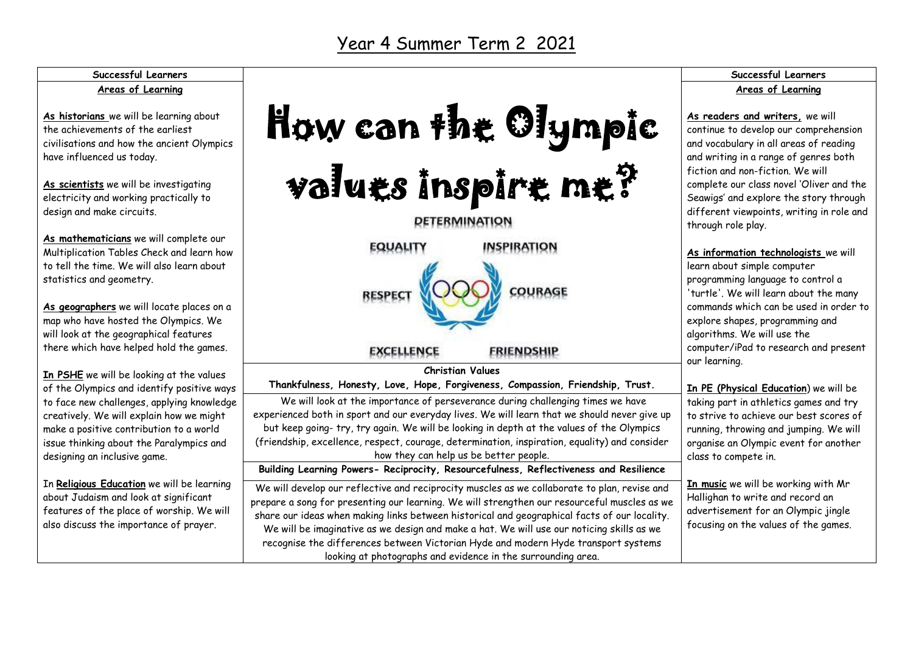### Year 4 Summer Term 2 2021

#### **Successful Learners Areas of Learning**

**As historians** we will be learning about the achievements of the earliest civilisations and how the ancient Olympics have influenced us today.

**As scientists** we will be investigating electricity and working practically to design and make circuits.

**As mathematicians** we will complete our Multiplication Tables Check and learn how to tell the time. We will also learn about statistics and geometry.

**As geographers** we will locate places on a map who have hosted the Olympics. We will look at the geographical features there which have helped hold the games.

**In PSHE** we will be looking at the values of the Olympics and identify positive ways to face new challenges, applying knowledge creatively. We will explain how we might make a positive contribution to a world issue thinking about the Paralympics and designing an inclusive game.

In **Religious Education** we will be learning about Judaism and look at significant features of the place of worship. We will also discuss the importance of prayer.

|                                                                                                                                                                                                                                                                                                                                                                                                                                                                                                                                                 | Successful Learn                                                                                                                                                                                                                                               |
|-------------------------------------------------------------------------------------------------------------------------------------------------------------------------------------------------------------------------------------------------------------------------------------------------------------------------------------------------------------------------------------------------------------------------------------------------------------------------------------------------------------------------------------------------|----------------------------------------------------------------------------------------------------------------------------------------------------------------------------------------------------------------------------------------------------------------|
|                                                                                                                                                                                                                                                                                                                                                                                                                                                                                                                                                 | Areas of Learni                                                                                                                                                                                                                                                |
| How can the Olympic                                                                                                                                                                                                                                                                                                                                                                                                                                                                                                                             | As readers and writers, w<br>continue to develop our con<br>and vocabulary in all areas o<br>and writing in a range of ge<br>fiction and non-fiction. We                                                                                                       |
| values inspire me?                                                                                                                                                                                                                                                                                                                                                                                                                                                                                                                              | complete our class novel 'OI<br>Seawigs' and explore the st                                                                                                                                                                                                    |
| <b>DETERMINATION</b>                                                                                                                                                                                                                                                                                                                                                                                                                                                                                                                            | different viewpoints, writir<br>through role play.                                                                                                                                                                                                             |
| <b>INSPIRATION</b><br><b>EQUALITY</b><br><b>RESPECT</b><br><b>COURAGE</b><br><b>EXCELLENCE</b><br><b>FRIENDSHIP</b><br><b>Christian Values</b>                                                                                                                                                                                                                                                                                                                                                                                                  | As information technologis<br>learn about simple compute<br>programming language to co<br>'turtle'. We will learn abou<br>commands which can be use<br>explore shapes, programmir<br>algorithms. We will use the<br>computer/iPad to research<br>our learning. |
| Thankfulness, Honesty, Love, Hope, Forgiveness, Compassion, Friendship, Trust.                                                                                                                                                                                                                                                                                                                                                                                                                                                                  | <b>In PE (Physical Education)</b>                                                                                                                                                                                                                              |
| We will look at the importance of perseverance during challenging times we have<br>experienced both in sport and our everyday lives. We will learn that we should never give up<br>but keep going-try, try again. We will be looking in depth at the values of the Olympics<br>(friendship, excellence, respect, courage, determination, inspiration, equality) and consider<br>how they can help us be better people.                                                                                                                          | taking part in athletics gam<br>to strive to achieve our bes<br>running, throwing and jumpi<br>organise an Olympic event f<br>class to compete in.                                                                                                             |
| Building Learning Powers- Reciprocity, Resourcefulness, Reflectiveness and Resilience                                                                                                                                                                                                                                                                                                                                                                                                                                                           |                                                                                                                                                                                                                                                                |
| We will develop our reflective and reciprocity muscles as we collaborate to plan, revise and<br>prepare a song for presenting our learning. We will strengthen our resourceful muscles as we<br>share our ideas when making links between historical and geographical facts of our locality.<br>We will be imaginative as we design and make a hat. We will use our noticing skills as we<br>recognise the differences between Victorian Hyde and modern Hyde transport systems<br>looking at photographs and evidence in the surrounding area. | In music we will be working<br>Hallighan to write and reco<br>advertisement for an Olym<br>focusing on the values of th                                                                                                                                        |

#### **Successful Learners** ing

**As readers and writers,** we will nprehension of reading anres both fiction and non-fiction. We will liver and the tory through ng in role and

**sts** we will learn about simple computer pntrol a it the many d in order to na and algorithms. We will use the and present

we will be hes and try st scores of ing. We will for another

with Mr rd an pic jingle he games.